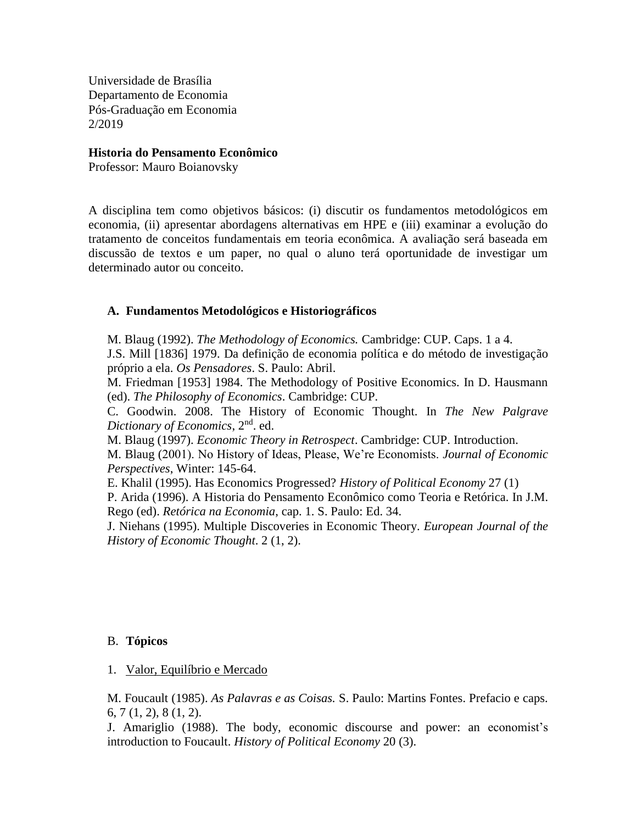Universidade de Brasília Departamento de Economia Pós-Graduação em Economia 2/2019

#### **Historia do Pensamento Econômico**

Professor: Mauro Boianovsky

A disciplina tem como objetivos básicos: (i) discutir os fundamentos metodológicos em economia, (ii) apresentar abordagens alternativas em HPE e (iii) examinar a evolução do tratamento de conceitos fundamentais em teoria econômica. A avaliação será baseada em discussão de textos e um paper, no qual o aluno terá oportunidade de investigar um determinado autor ou conceito.

## **A. Fundamentos Metodológicos e Historiográficos**

M. Blaug (1992). *The Methodology of Economics.* Cambridge: CUP. Caps. 1 a 4.

J.S. Mill [1836] 1979. Da definição de economia política e do método de investigação próprio a ela. *Os Pensadores*. S. Paulo: Abril.

M. Friedman [1953] 1984. The Methodology of Positive Economics. In D. Hausmann (ed). *The Philosophy of Economics*. Cambridge: CUP.

C. Goodwin. 2008. The History of Economic Thought. In *The New Palgrave Dictionary of Economics*, 2nd. ed.

M. Blaug (1997). *Economic Theory in Retrospect*. Cambridge: CUP. Introduction.

M. Blaug (2001). No History of Ideas, Please, We're Economists. *Journal of Economic Perspectives*, Winter: 145-64.

E. Khalil (1995). Has Economics Progressed? *History of Political Economy* 27 (1)

P. Arida (1996). A Historia do Pensamento Econômico como Teoria e Retórica. In J.M. Rego (ed). *Retórica na Economia*, cap. 1. S. Paulo: Ed. 34.

J. Niehans (1995). Multiple Discoveries in Economic Theory. *European Journal of the History of Economic Thought*. 2 (1, 2).

## B. **Tópicos**

## 1. Valor, Equilíbrio e Mercado

M. Foucault (1985). *As Palavras e as Coisas.* S. Paulo: Martins Fontes. Prefacio e caps. 6, 7 (1, 2), 8 (1, 2).

J. Amariglio (1988). The body, economic discourse and power: an economist's introduction to Foucault. *History of Political Economy* 20 (3).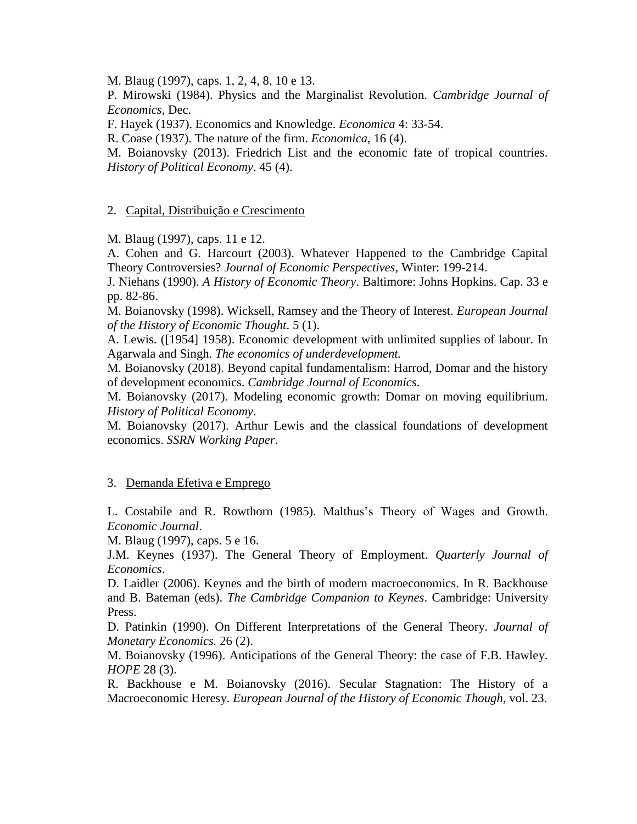M. Blaug (1997), caps. 1, 2, 4, 8, 10 e 13.

P. Mirowski (1984). Physics and the Marginalist Revolution. *Cambridge Journal of Economics*, Dec.

F. Hayek (1937). Economics and Knowledge. *Economica* 4: 33-54.

R. Coase (1937). The nature of the firm. *Economica*, 16 (4).

M. Boianovsky (2013). Friedrich List and the economic fate of tropical countries. *History of Political Economy*. 45 (4).

## 2. Capital, Distribuição e Crescimento

M. Blaug (1997), caps. 11 e 12.

A. Cohen and G. Harcourt (2003). Whatever Happened to the Cambridge Capital Theory Controversies? *Journal of Economic Perspectives*, Winter: 199-214.

J. Niehans (1990). *A History of Economic Theory*. Baltimore: Johns Hopkins. Cap. 33 e pp. 82-86.

M. Boianovsky (1998). Wicksell, Ramsey and the Theory of Interest. *European Journal of the History of Economic Thought*. 5 (1).

A. Lewis. ([1954] 1958). Economic development with unlimited supplies of labour. In Agarwala and Singh. *The economics of underdevelopment.*

M. Boianovsky (2018). Beyond capital fundamentalism: Harrod, Domar and the history of development economics. *Cambridge Journal of Economics*.

M. Boianovsky (2017). Modeling economic growth: Domar on moving equilibrium. *History of Political Economy*.

M. Boianovsky (2017). Arthur Lewis and the classical foundations of development economics. *SSRN Working Paper*.

#### 3. Demanda Efetiva e Emprego

L. Costabile and R. Rowthorn (1985). Malthus's Theory of Wages and Growth. *Economic Journal*.

M. Blaug (1997), caps. 5 e 16.

J.M. Keynes (1937). The General Theory of Employment. *Quarterly Journal of Economics*.

D. Laidler (2006). Keynes and the birth of modern macroeconomics. In R. Backhouse and B. Bateman (eds). *The Cambridge Companion to Keynes*. Cambridge: University Press.

D. Patinkin (1990). On Different Interpretations of the General Theory. *Journal of Monetary Economics.* 26 (2).

M. Boianovsky (1996). Anticipations of the General Theory: the case of F.B. Hawley. *HOPE* 28 (3).

R. Backhouse e M. Boianovsky (2016). Secular Stagnation: The History of a Macroeconomic Heresy. *European Journal of the History of Economic Though,* vol. 23.